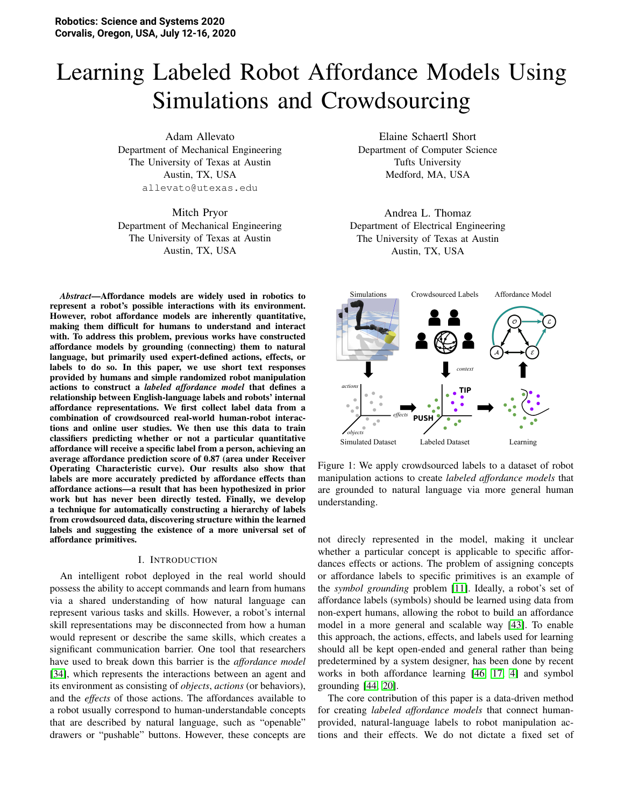# Learning Labeled Robot Affordance Models Using Simulations and Crowdsourcing

Adam Allevato Department of Mechanical Engineering The University of Texas at Austin Austin, TX, USA allevato@utexas.edu

Mitch Pryor Department of Mechanical Engineering The University of Texas at Austin Austin, TX, USA

*Abstract*—Affordance models are widely used in robotics to represent a robot's possible interactions with its environment. However, robot affordance models are inherently quantitative, making them difficult for humans to understand and interact with. To address this problem, previous works have constructed affordance models by grounding (connecting) them to natural language, but primarily used expert-defined actions, effects, or labels to do so. In this paper, we use short text responses provided by humans and simple randomized robot manipulation actions to construct a *labeled affordance model* that defines a relationship between English-language labels and robots' internal affordance representations. We first collect label data from a combination of crowdsourced real-world human-robot interactions and online user studies. We then use this data to train classifiers predicting whether or not a particular quantitative affordance will receive a specific label from a person, achieving an average affordance prediction score of 0.87 (area under Receiver Operating Characteristic curve). Our results also show that labels are more accurately predicted by affordance effects than affordance actions—a result that has been hypothesized in prior work but has never been directly tested. Finally, we develop a technique for automatically constructing a hierarchy of labels from crowdsourced data, discovering structure within the learned labels and suggesting the existence of a more universal set of affordance primitives.

#### I. INTRODUCTION

An intelligent robot deployed in the real world should possess the ability to accept commands and learn from humans via a shared understanding of how natural language can represent various tasks and skills. However, a robot's internal skill representations may be disconnected from how a human would represent or describe the same skills, which creates a significant communication barrier. One tool that researchers have used to break down this barrier is the *affordance model* [\[34\]](#page-9-0), which represents the interactions between an agent and its environment as consisting of *objects*, *actions* (or behaviors), and the *effects* of those actions. The affordances available to a robot usually correspond to human-understandable concepts that are described by natural language, such as "openable" drawers or "pushable" buttons. However, these concepts are

Elaine Schaertl Short Department of Computer Science Tufts University Medford, MA, USA

Andrea L. Thomaz Department of Electrical Engineering The University of Texas at Austin Austin, TX, USA

<span id="page-0-0"></span>

Figure 1: We apply crowdsourced labels to a dataset of robot manipulation actions to create *labeled affordance models* that are grounded to natural language via more general human understanding.

not direcly represented in the model, making it unclear whether a particular concept is applicable to specific affordances effects or actions. The problem of assigning concepts or affordance labels to specific primitives is an example of the *symbol grounding* problem [\[11\]](#page-8-0). Ideally, a robot's set of affordance labels (symbols) should be learned using data from non-expert humans, allowing the robot to build an affordance model in a more general and scalable way [\[43\]](#page-9-1). To enable this approach, the actions, effects, and labels used for learning should all be kept open-ended and general rather than being predetermined by a system designer, has been done by recent works in both affordance learning [\[46,](#page-9-2) [17,](#page-8-1) [4\]](#page-8-2) and symbol grounding [\[44,](#page-9-3) [20\]](#page-8-3).

The core contribution of this paper is a data-driven method for creating *labeled affordance models* that connect humanprovided, natural-language labels to robot manipulation actions and their effects. We do not dictate a fixed set of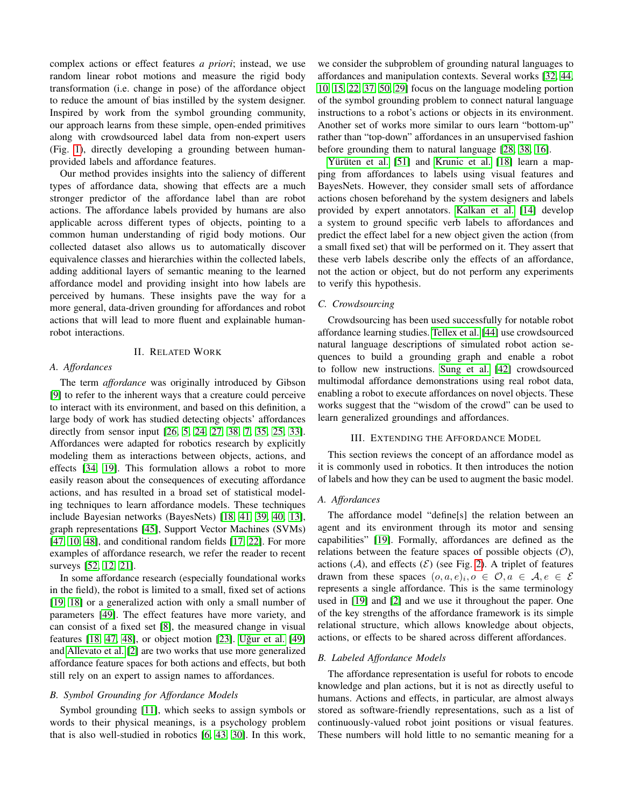complex actions or effect features *a priori*; instead, we use random linear robot motions and measure the rigid body transformation (i.e. change in pose) of the affordance object to reduce the amount of bias instilled by the system designer. Inspired by work from the symbol grounding community, our approach learns from these simple, open-ended primitives along with crowdsourced label data from non-expert users (Fig. [1\)](#page-0-0), directly developing a grounding between humanprovided labels and affordance features.

Our method provides insights into the saliency of different types of affordance data, showing that effects are a much stronger predictor of the affordance label than are robot actions. The affordance labels provided by humans are also applicable across different types of objects, pointing to a common human understanding of rigid body motions. Our collected dataset also allows us to automatically discover equivalence classes and hierarchies within the collected labels, adding additional layers of semantic meaning to the learned affordance model and providing insight into how labels are perceived by humans. These insights pave the way for a more general, data-driven grounding for affordances and robot actions that will lead to more fluent and explainable humanrobot interactions.

# II. RELATED WORK

#### *A. Affordances*

The term *affordance* was originally introduced by Gibson [\[9\]](#page-8-4) to refer to the inherent ways that a creature could perceive to interact with its environment, and based on this definition, a large body of work has studied detecting objects' affordances directly from sensor input [\[26,](#page-9-4) [5,](#page-8-5) [24,](#page-8-6) [27,](#page-9-5) [38,](#page-9-6) [7,](#page-8-7) [35,](#page-9-7) [25,](#page-9-8) [33\]](#page-9-9). Affordances were adapted for robotics research by explicitly modeling them as interactions between objects, actions, and effects [\[34,](#page-9-0) [19\]](#page-8-8). This formulation allows a robot to more easily reason about the consequences of executing affordance actions, and has resulted in a broad set of statistical modeling techniques to learn affordance models. These techniques include Bayesian networks (BayesNets) [\[18,](#page-8-9) [41,](#page-9-10) [39,](#page-9-11) [40,](#page-9-12) [13\]](#page-8-10), graph representations [\[45\]](#page-9-13), Support Vector Machines (SVMs) [\[47,](#page-10-0) [10,](#page-8-11) [48\]](#page-10-1), and conditional random fields [\[17,](#page-8-1) [22\]](#page-8-12). For more examples of affordance research, we refer the reader to recent surveys [\[52,](#page-10-2) [12,](#page-8-13) [21\]](#page-8-14).

In some affordance research (especially foundational works in the field), the robot is limited to a small, fixed set of actions [\[19,](#page-8-8) [18\]](#page-8-9) or a generalized action with only a small number of parameters [\[49\]](#page-10-3). The effect features have more variety, and can consist of a fixed set [\[8\]](#page-8-15), the measured change in visual features [\[18,](#page-8-9) [47,](#page-10-0) [48\]](#page-10-1), or object motion [\[23\]](#page-8-16). Uğur et al. [\[49\]](#page-10-3) and [Allevato et al.](#page-8-17) [\[2\]](#page-8-17) are two works that use more generalized affordance feature spaces for both actions and effects, but both still rely on an expert to assign names to affordances.

## *B. Symbol Grounding for Affordance Models*

Symbol grounding [\[11\]](#page-8-0), which seeks to assign symbols or words to their physical meanings, is a psychology problem that is also well-studied in robotics [\[6,](#page-8-18) [43,](#page-9-1) [30\]](#page-9-14). In this work, we consider the subproblem of grounding natural languages to affordances and manipulation contexts. Several works [\[32,](#page-9-15) [44,](#page-9-3) [10,](#page-8-11) [15,](#page-8-19) [22,](#page-8-12) [37,](#page-9-16) [50,](#page-10-4) [29\]](#page-9-17) focus on the language modeling portion of the symbol grounding problem to connect natural language instructions to a robot's actions or objects in its environment. Another set of works more similar to ours learn "bottom-up" rather than "top-down" affordances in an unsupervised fashion before grounding them to natural language [\[28,](#page-9-18) [38,](#page-9-6) [16\]](#page-8-20).

Yürüten et al. [\[51\]](#page-10-5) and [Krunic et al.](#page-8-9) [\[18\]](#page-8-9) learn a mapping from affordances to labels using visual features and BayesNets. However, they consider small sets of affordance actions chosen beforehand by the system designers and labels provided by expert annotators. [Kalkan et al.](#page-8-21) [\[14\]](#page-8-21) develop a system to ground specific verb labels to affordances and predict the effect label for a new object given the action (from a small fixed set) that will be performed on it. They assert that these verb labels describe only the effects of an affordance, not the action or object, but do not perform any experiments to verify this hypothesis.

#### *C. Crowdsourcing*

Crowdsourcing has been used successfully for notable robot affordance learning studies. [Tellex et al.](#page-9-3) [\[44\]](#page-9-3) use crowdsourced natural language descriptions of simulated robot action sequences to build a grounding graph and enable a robot to follow new instructions. [Sung et al.](#page-9-19) [\[42\]](#page-9-19) crowdsourced multimodal affordance demonstrations using real robot data, enabling a robot to execute affordances on novel objects. These works suggest that the "wisdom of the crowd" can be used to learn generalized groundings and affordances.

# III. EXTENDING THE AFFORDANCE MODEL

This section reviews the concept of an affordance model as it is commonly used in robotics. It then introduces the notion of labels and how they can be used to augment the basic model.

#### *A. Affordances*

The affordance model "define[s] the relation between an agent and its environment through its motor and sensing capabilities" [\[19\]](#page-8-8). Formally, affordances are defined as the relations between the feature spaces of possible objects  $(0)$ , actions  $(A)$ , and effects  $(E)$  (see Fig. [2\)](#page-2-0). A triplet of features drawn from these spaces  $(o, a, e)_i, o \in O, a \in A, e \in \mathcal{E}$ represents a single affordance. This is the same terminology used in [\[19\]](#page-8-8) and [\[2\]](#page-8-17) and we use it throughout the paper. One of the key strengths of the affordance framework is its simple relational structure, which allows knowledge about objects, actions, or effects to be shared across different affordances.

#### *B. Labeled Affordance Models*

The affordance representation is useful for robots to encode knowledge and plan actions, but it is not as directly useful to humans. Actions and effects, in particular, are almost always stored as software-friendly representations, such as a list of continuously-valued robot joint positions or visual features. These numbers will hold little to no semantic meaning for a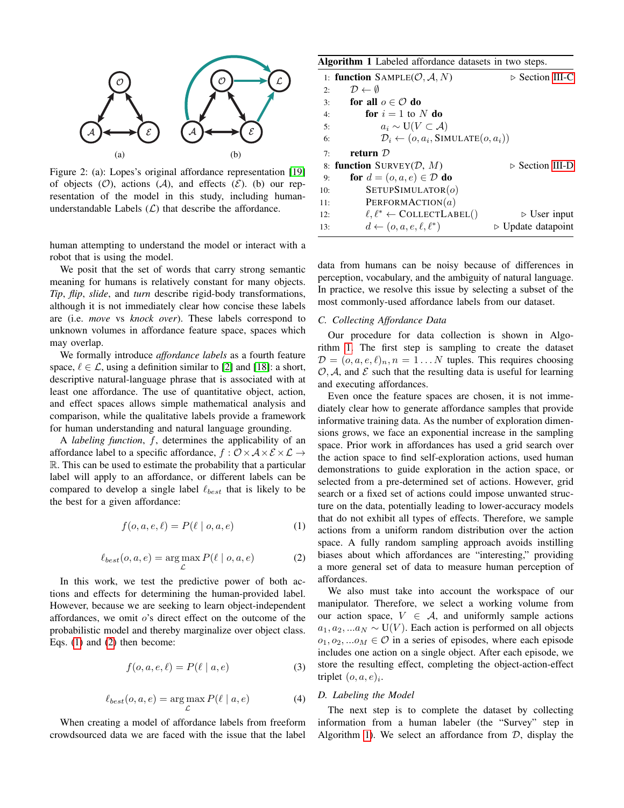<span id="page-2-0"></span>

Figure 2: (a): Lopes's original affordance representation [\[19\]](#page-8-8) of objects  $(0)$ , actions  $(A)$ , and effects  $(\mathcal{E})$ . (b) our representation of the model in this study, including humanunderstandable Labels  $(L)$  that describe the affordance.

human attempting to understand the model or interact with a robot that is using the model.

We posit that the set of words that carry strong semantic meaning for humans is relatively constant for many objects. *Tip*, *flip*, *slide*, and *turn* describe rigid-body transformations, although it is not immediately clear how concise these labels are (i.e. *move* vs *knock over*). These labels correspond to unknown volumes in affordance feature space, spaces which may overlap.

We formally introduce *affordance labels* as a fourth feature space,  $\ell \in \mathcal{L}$ , using a definition similar to [\[2\]](#page-8-17) and [\[18\]](#page-8-9): a short, descriptive natural-language phrase that is associated with at least one affordance. The use of quantitative object, action, and effect spaces allows simple mathematical analysis and comparison, while the qualitative labels provide a framework for human understanding and natural language grounding.

A *labeling function*, f, determines the applicability of an affordance label to a specific affordance,  $f : \mathcal{O} \times \mathcal{A} \times \mathcal{E} \times \mathcal{L} \rightarrow$ R. This can be used to estimate the probability that a particular label will apply to an affordance, or different labels can be compared to develop a single label  $\ell_{best}$  that is likely to be the best for a given affordance:

$$
f(o, a, e, \ell) = P(\ell \mid o, a, e)
$$
 (1)

<span id="page-2-1"></span>
$$
\ell_{best}(o, a, e) = \underset{\mathcal{L}}{\arg \max} P(\ell \mid o, a, e) \tag{2}
$$

<span id="page-2-2"></span>In this work, we test the predictive power of both actions and effects for determining the human-provided label. However, because we are seeking to learn object-independent affordances, we omit o's direct effect on the outcome of the probabilistic model and thereby marginalize over object class. Eqs. [\(1\)](#page-2-1) and [\(2\)](#page-2-2) then become:

$$
f(o, a, e, \ell) = P(\ell \mid a, e)
$$
\n(3)

$$
\ell_{best}(o, a, e) = \underset{\mathcal{L}}{\arg\max} P(\ell \mid a, e)
$$
 (4)

When creating a model of affordance labels from freeform crowdsourced data we are faced with the issue that the label

<span id="page-2-5"></span>

| <b>Algorithm 1</b> Labeled affordance datasets in two steps. |                                                              |                                   |  |  |
|--------------------------------------------------------------|--------------------------------------------------------------|-----------------------------------|--|--|
|                                                              | 1: <b>function</b> $SAMPLE(O, A, N)$                         | $\triangleright$ Section III-C    |  |  |
| 2:                                                           | $\mathcal{D} \leftarrow \emptyset$                           |                                   |  |  |
| 3:                                                           | for all $o \in \mathcal{O}$ do                               |                                   |  |  |
| 4:                                                           | for $i = 1$ to N do                                          |                                   |  |  |
| 5:                                                           | $a_i \sim U(V \subset \mathcal{A})$                          |                                   |  |  |
| 6:                                                           | $\mathcal{D}_i \leftarrow (o, a_i, \text{SIMULATE}(o, a_i))$ |                                   |  |  |
| 7:                                                           | return $\mathcal D$                                          |                                   |  |  |
|                                                              | 8: <b>function</b> SURVEY( $D$ , $M$ )                       | $\triangleright$ Section III-D    |  |  |
| 9:                                                           | for $d = (o, a, e) \in \mathcal{D}$ do                       |                                   |  |  |
| 10:                                                          | SETUPSIMULATION (o)                                          |                                   |  |  |
| 11:                                                          | PERFORMACTION $(a)$                                          |                                   |  |  |
| 12:                                                          | $\ell, \ell^* \leftarrow \text{COLLECTLABEL}()$              | $\triangleright$ User input       |  |  |
| 13:                                                          | $d \leftarrow (o, a, e, \ell, \ell^*)$                       | $\triangleright$ Update datapoint |  |  |

data from humans can be noisy because of differences in perception, vocabulary, and the ambiguity of natural language. In practice, we resolve this issue by selecting a subset of the most commonly-used affordance labels from our dataset.

# <span id="page-2-3"></span>*C. Collecting Affordance Data*

Our procedure for data collection is shown in Algorithm [1.](#page-2-5) The first step is sampling to create the dataset  $\mathcal{D} = (o, a, e, \ell)_n, n = 1...N$  tuples. This requires choosing  $O, A$ , and  $E$  such that the resulting data is useful for learning and executing affordances.

Even once the feature spaces are chosen, it is not immediately clear how to generate affordance samples that provide informative training data. As the number of exploration dimensions grows, we face an exponential increase in the sampling space. Prior work in affordances has used a grid search over the action space to find self-exploration actions, used human demonstrations to guide exploration in the action space, or selected from a pre-determined set of actions. However, grid search or a fixed set of actions could impose unwanted structure on the data, potentially leading to lower-accuracy models that do not exhibit all types of effects. Therefore, we sample actions from a uniform random distribution over the action space. A fully random sampling approach avoids instilling biases about which affordances are "interesting," providing a more general set of data to measure human perception of affordances.

We also must take into account the workspace of our manipulator. Therefore, we select a working volume from our action space,  $V \in \mathcal{A}$ , and uniformly sample actions  $a_1, a_2, ... a_N \sim U(V)$ . Each action is performed on all objects  $o_1, o_2, ... o_M \in \mathcal{O}$  in a series of episodes, where each episode includes one action on a single object. After each episode, we store the resulting effect, completing the object-action-effect triplet  $(o, a, e)_i$ .

#### <span id="page-2-4"></span>*D. Labeling the Model*

The next step is to complete the dataset by collecting information from a human labeler (the "Survey" step in Algorithm [1\)](#page-2-5). We select an affordance from  $D$ , display the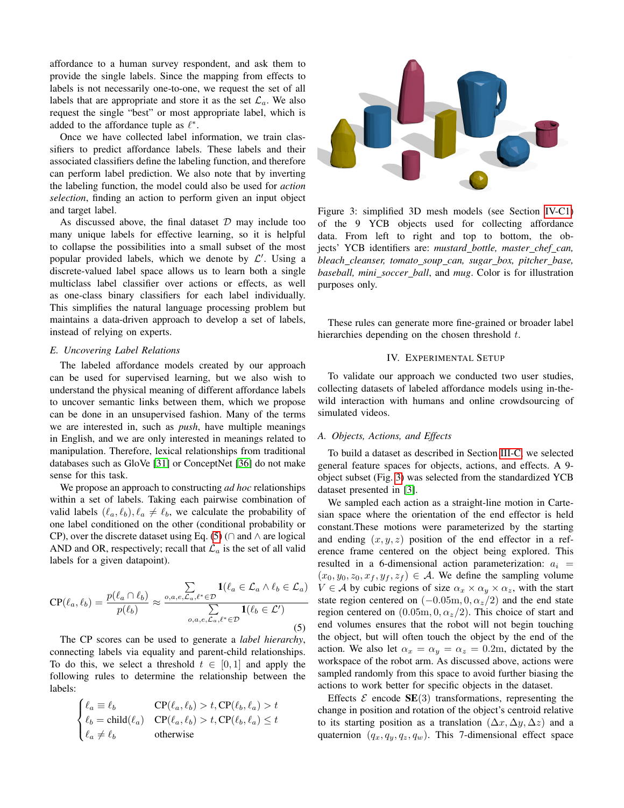affordance to a human survey respondent, and ask them to provide the single labels. Since the mapping from effects to labels is not necessarily one-to-one, we request the set of all labels that are appropriate and store it as the set  $\mathcal{L}_a$ . We also request the single "best" or most appropriate label, which is added to the affordance tuple as  $\ell^*$ .

Once we have collected label information, we train classifiers to predict affordance labels. These labels and their associated classifiers define the labeling function, and therefore can perform label prediction. We also note that by inverting the labeling function, the model could also be used for *action selection*, finding an action to perform given an input object and target label.

As discussed above, the final dataset  $D$  may include too many unique labels for effective learning, so it is helpful to collapse the possibilities into a small subset of the most popular provided labels, which we denote by  $\mathcal{L}'$ . Using a discrete-valued label space allows us to learn both a single multiclass label classifier over actions or effects, as well as one-class binary classifiers for each label individually. This simplifies the natural language processing problem but maintains a data-driven approach to develop a set of labels, instead of relying on experts.

#### <span id="page-3-2"></span>*E. Uncovering Label Relations*

The labeled affordance models created by our approach can be used for supervised learning, but we also wish to understand the physical meaning of different affordance labels to uncover semantic links between them, which we propose can be done in an unsupervised fashion. Many of the terms we are interested in, such as *push*, have multiple meanings in English, and we are only interested in meanings related to manipulation. Therefore, lexical relationships from traditional databases such as GloVe [\[31\]](#page-9-20) or ConceptNet [\[36\]](#page-9-21) do not make sense for this task.

We propose an approach to constructing *ad hoc* relationships within a set of labels. Taking each pairwise combination of valid labels  $(\ell_a, \ell_b), \ell_a \neq \ell_b$ , we calculate the probability of one label conditioned on the other (conditional probability or CP), over the discrete dataset using Eq. [\(5\)](#page-3-0) ( $\cap$  and  $\land$  are logical AND and OR, respectively; recall that  $\mathcal{L}_a$  is the set of all valid labels for a given datapoint).

<span id="page-3-0"></span>
$$
CP(\ell_a, \ell_b) = \frac{p(\ell_a \cap \ell_b)}{p(\ell_b)} \approx \frac{\sum\limits_{o, a, e, \mathcal{L}_a, \ell^* \in \mathcal{D}} \mathbf{1}(\ell_a \in \mathcal{L}_a \land \ell_b \in \mathcal{L}_a)}{\sum\limits_{o, a, e, \mathcal{L}_a, \ell^* \in \mathcal{D}} \mathbf{1}(\ell_b \in \mathcal{L}')} \tag{5}
$$

The CP scores can be used to generate a *label hierarchy*, connecting labels via equality and parent-child relationships. To do this, we select a threshold  $t \in [0, 1]$  and apply the following rules to determine the relationship between the labels:

$$
\begin{cases} \ell_a \equiv \ell_b & \text{CP}(\ell_a, \ell_b) > t, \text{CP}(\ell_b, \ell_a) > t \\ \ell_b = \text{child}(\ell_a) & \text{CP}(\ell_a, \ell_b) > t, \text{CP}(\ell_b, \ell_a) \le t \\ \ell_a \neq \ell_b & \text{otherwise} \end{cases}
$$

<span id="page-3-1"></span>

Figure 3: simplified 3D mesh models (see Section [IV-C1\)](#page-4-0) of the 9 YCB objects used for collecting affordance data. From left to right and top to bottom, the objects' YCB identifiers are: *mustard bottle, master chef can, bleach cleanser, tomato soup can, sugar box, pitcher base, baseball, mini soccer ball*, and *mug*. Color is for illustration purposes only.

These rules can generate more fine-grained or broader label hierarchies depending on the chosen threshold  $t$ .

## IV. EXPERIMENTAL SETUP

To validate our approach we conducted two user studies, collecting datasets of labeled affordance models using in-thewild interaction with humans and online crowdsourcing of simulated videos.

# *A. Objects, Actions, and Effects*

To build a dataset as described in Section [III-C,](#page-2-3) we selected general feature spaces for objects, actions, and effects. A 9 object subset (Fig. [3\)](#page-3-1) was selected from the standardized YCB dataset presented in [\[3\]](#page-8-22).

We sampled each action as a straight-line motion in Cartesian space where the orientation of the end effector is held constant.These motions were parameterized by the starting and ending  $(x, y, z)$  position of the end effector in a reference frame centered on the object being explored. This resulted in a 6-dimensional action parameterization:  $a_i$  =  $(x_0, y_0, z_0, x_f, y_f, z_f) \in \mathcal{A}$ . We define the sampling volume  $V \in \mathcal{A}$  by cubic regions of size  $\alpha_x \times \alpha_y \times \alpha_z$ , with the start state region centered on  $(-0.05m, 0, \alpha_z/2)$  and the end state region centered on  $(0.05m, 0, \alpha_z/2)$ . This choice of start and end volumes ensures that the robot will not begin touching the object, but will often touch the object by the end of the action. We also let  $\alpha_x = \alpha_y = \alpha_z = 0.2$ m, dictated by the workspace of the robot arm. As discussed above, actions were sampled randomly from this space to avoid further biasing the actions to work better for specific objects in the dataset.

Effects  $\mathcal E$  encode  $SE(3)$  transformations, representing the change in position and rotation of the object's centroid relative to its starting position as a translation  $(\Delta x, \Delta y, \Delta z)$  and a quaternion  $(q_x, q_y, q_z, q_w)$ . This 7-dimensional effect space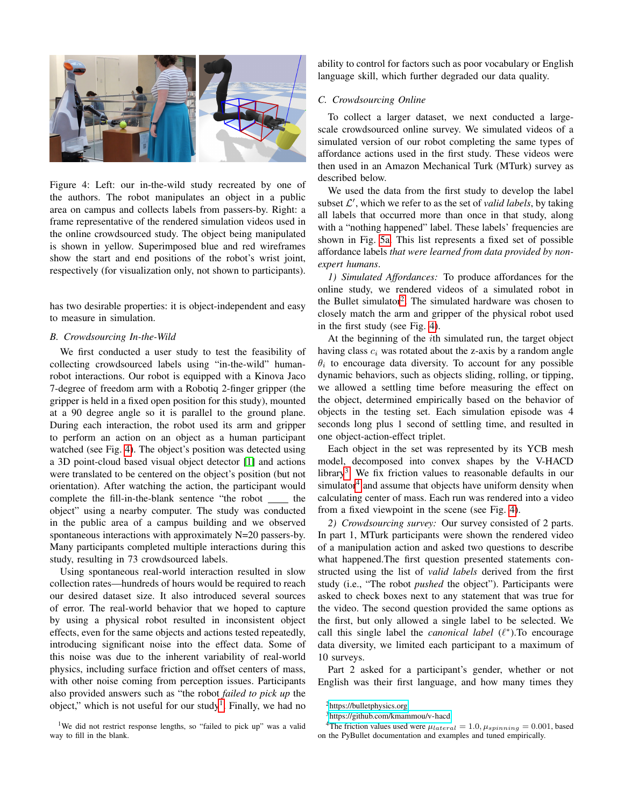<span id="page-4-1"></span>

Figure 4: Left: our in-the-wild study recreated by one of the authors. The robot manipulates an object in a public area on campus and collects labels from passers-by. Right: a frame representative of the rendered simulation videos used in the online crowdsourced study. The object being manipulated is shown in yellow. Superimposed blue and red wireframes show the start and end positions of the robot's wrist joint, respectively (for visualization only, not shown to participants).

has two desirable properties: it is object-independent and easy to measure in simulation.

#### *B. Crowdsourcing In-the-Wild*

We first conducted a user study to test the feasibility of collecting crowdsourced labels using "in-the-wild" humanrobot interactions. Our robot is equipped with a Kinova Jaco 7-degree of freedom arm with a Robotiq 2-finger gripper (the gripper is held in a fixed open position for this study), mounted at a 90 degree angle so it is parallel to the ground plane. During each interaction, the robot used its arm and gripper to perform an action on an object as a human participant watched (see Fig. [4\)](#page-4-1). The object's position was detected using a 3D point-cloud based visual object detector [\[1\]](#page-8-23) and actions were translated to be centered on the object's position (but not orientation). After watching the action, the participant would complete the fill-in-the-blank sentence "the robot \_\_\_\_\_ the object" using a nearby computer. The study was conducted in the public area of a campus building and we observed spontaneous interactions with approximately N=20 passers-by. Many participants completed multiple interactions during this study, resulting in 73 crowdsourced labels.

Using spontaneous real-world interaction resulted in slow collection rates—hundreds of hours would be required to reach our desired dataset size. It also introduced several sources of error. The real-world behavior that we hoped to capture by using a physical robot resulted in inconsistent object effects, even for the same objects and actions tested repeatedly, introducing significant noise into the effect data. Some of this noise was due to the inherent variability of real-world physics, including surface friction and offset centers of mass, with other noise coming from perception issues. Participants also provided answers such as "the robot *failed to pick up* the object," which is not useful for our study<sup>[1](#page-4-2)</sup>. Finally, we had no

ability to control for factors such as poor vocabulary or English language skill, which further degraded our data quality.

#### <span id="page-4-6"></span>*C. Crowdsourcing Online*

To collect a larger dataset, we next conducted a largescale crowdsourced online survey. We simulated videos of a simulated version of our robot completing the same types of affordance actions used in the first study. These videos were then used in an Amazon Mechanical Turk (MTurk) survey as described below.

We used the data from the first study to develop the label subset  $\mathcal{L}'$ , which we refer to as the set of *valid labels*, by taking all labels that occurred more than once in that study, along with a "nothing happened" label. These labels' frequencies are shown in Fig. [5a.](#page-5-0) This list represents a fixed set of possible affordance labels *that were learned from data provided by nonexpert humans*.

<span id="page-4-0"></span>*1) Simulated Affordances:* To produce affordances for the online study, we rendered videos of a simulated robot in the Bullet simulator<sup>[2](#page-4-3)</sup>. The simulated hardware was chosen to closely match the arm and gripper of the physical robot used in the first study (see Fig. [4\)](#page-4-1).

At the beginning of the *i*th simulated run, the target object having class  $c_i$  was rotated about the z-axis by a random angle  $\theta_i$  to encourage data diversity. To account for any possible dynamic behaviors, such as objects sliding, rolling, or tipping, we allowed a settling time before measuring the effect on the object, determined empirically based on the behavior of objects in the testing set. Each simulation episode was 4 seconds long plus 1 second of settling time, and resulted in one object-action-effect triplet.

Each object in the set was represented by its YCB mesh model, decomposed into convex shapes by the V-HACD library<sup>[3](#page-4-4)</sup>. We fix friction values to reasonable defaults in our simulator<sup>[4](#page-4-5)</sup> and assume that objects have uniform density when calculating center of mass. Each run was rendered into a video from a fixed viewpoint in the scene (see Fig. [4\)](#page-4-1).

*2) Crowdsourcing survey:* Our survey consisted of 2 parts. In part 1, MTurk participants were shown the rendered video of a manipulation action and asked two questions to describe what happened.The first question presented statements constructed using the list of *valid labels* derived from the first study (i.e., "The robot *pushed* the object"). Participants were asked to check boxes next to any statement that was true for the video. The second question provided the same options as the first, but only allowed a single label to be selected. We call this single label the *canonical label* ( $\ell^*$ ). To encourage data diversity, we limited each participant to a maximum of 10 surveys.

Part 2 asked for a participant's gender, whether or not English was their first language, and how many times they

<span id="page-4-3"></span><sup>2</sup><https://bulletphysics.org>

<span id="page-4-5"></span><span id="page-4-4"></span><sup>3</sup><https://github.com/kmammou/v-hacd>

<span id="page-4-2"></span><sup>&</sup>lt;sup>1</sup>We did not restrict response lengths, so "failed to pick up" was a valid way to fill in the blank.

<sup>&</sup>lt;sup>4</sup>The friction values used were  $\mu_{lateral} = 1.0, \mu_{spinning} = 0.001$ , based on the PyBullet documentation and examples and tuned empirically.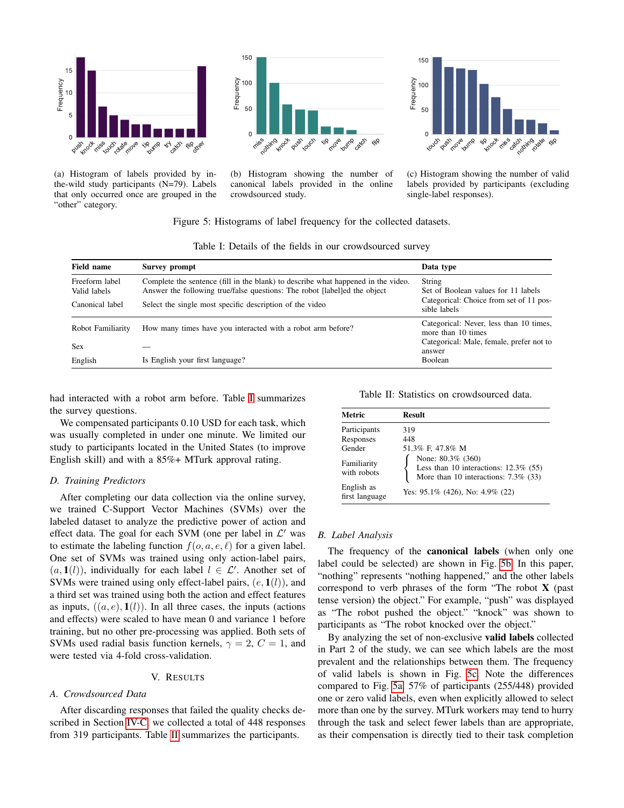<span id="page-5-0"></span>

(a) Histogram of labels provided by inthe-wild study participants (N=79). Labels that only occurred once are grouped in the "other" category.



(b) Histogram showing the number of canonical labels provided in the online crowdsourced study.



(c) Histogram showing the number of valid labels provided by participants (excluding single-label responses).

#### Figure 5: Histograms of label frequency for the collected datasets.

<span id="page-5-1"></span>

| <b>Field name</b>                                 | Survey prompt                                                                                                                                                                                                              | Data type                                                                                                |  |
|---------------------------------------------------|----------------------------------------------------------------------------------------------------------------------------------------------------------------------------------------------------------------------------|----------------------------------------------------------------------------------------------------------|--|
| Freeform label<br>Valid labels<br>Canonical label | Complete the sentence (fill in the blank) to describe what happened in the video.<br>Answer the following true/false questions: The robot [label]ed the object<br>Select the single most specific description of the video | String<br>Set of Boolean values for 11 labels<br>Categorical: Choice from set of 11 pos-<br>sible labels |  |
| Robot Familiarity                                 | How many times have you interacted with a robot arm before?                                                                                                                                                                | Categorical: Never, less than 10 times,<br>more than 10 times                                            |  |
| <b>Sex</b>                                        |                                                                                                                                                                                                                            | Categorical: Male, female, prefer not to<br>answer                                                       |  |
| English                                           | Is English your first language?                                                                                                                                                                                            | Boolean                                                                                                  |  |

Table I: Details of the fields in our crowdsourced survey

had interacted with a robot arm before. Table [I](#page-5-1) summarizes the survey questions.

We compensated participants 0.10 USD for each task, which was usually completed in under one minute. We limited our study to participants located in the United States (to improve English skill) and with a 85%+ MTurk approval rating.

# *D. Training Predictors*

After completing our data collection via the online survey, we trained C-Support Vector Machines (SVMs) over the labeled dataset to analyze the predictive power of action and effect data. The goal for each SVM (one per label in  $\mathcal{L}'$  was to estimate the labeling function  $f(o, a, e, l)$  for a given label. One set of SVMs was trained using only action-label pairs,  $(a, 1(l))$ , individually for each label  $l \in \mathcal{L}'$ . Another set of SVMs were trained using only effect-label pairs,  $(e, 1(l))$ , and a third set was trained using both the action and effect features as inputs,  $((a, e), \mathbf{1}(l))$ . In all three cases, the inputs (actions and effects) were scaled to have mean 0 and variance 1 before training, but no other pre-processing was applied. Both sets of SVMs used radial basis function kernels,  $\gamma = 2$ ,  $C = 1$ , and were tested via 4-fold cross-validation.

### V. RESULTS

#### *A. Crowdsourced Data*

After discarding responses that failed the quality checks described in Section [IV-C,](#page-4-6) we collected a total of 448 responses from 319 participants. Table [II](#page-5-2) summarizes the participants.

Table II: Statistics on crowdsourced data.

<span id="page-5-2"></span>

| Metric                       | <b>Result</b>                                                                                         |
|------------------------------|-------------------------------------------------------------------------------------------------------|
| Participants<br>Responses    | 319<br>448                                                                                            |
| Gender                       | 51.3% F, 47.8% M                                                                                      |
| Familiarity<br>with robots   | None: 80.3% (360)<br>Less than 10 interactions: $12.3\%$ (55)<br>More than 10 interactions: 7.3% (33) |
| English as<br>first language | Yes: $95.1\%$ (426), No: 4.9% (22)                                                                    |

#### <span id="page-5-3"></span>*B. Label Analysis*

The frequency of the canonical labels (when only one label could be selected) are shown in Fig. [5b.](#page-5-0) In this paper, "nothing" represents "nothing happened," and the other labels correspond to verb phrases of the form "The robot  $X$  (past tense version) the object." For example, "push" was displayed as "The robot pushed the object." "knock" was shown to participants as "The robot knocked over the object."

By analyzing the set of non-exclusive valid labels collected in Part 2 of the study, we can see which labels are the most prevalent and the relationships between them. The frequency of valid labels is shown in Fig. [5c.](#page-5-0) Note the differences compared to Fig. [5a.](#page-5-0) 57% of participants (255/448) provided one or zero valid labels, even when explicitly allowed to select more than one by the survey. MTurk workers may tend to hurry through the task and select fewer labels than are appropriate, as their compensation is directly tied to their task completion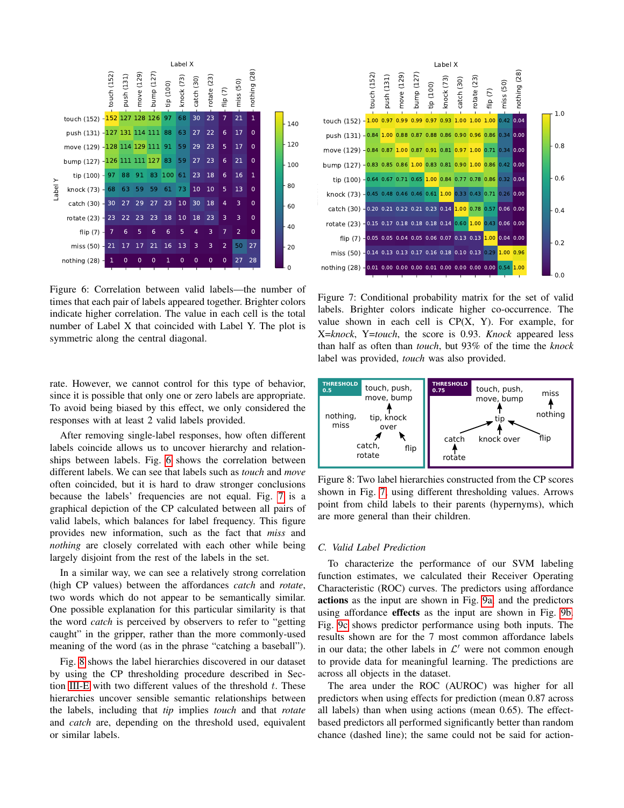<span id="page-6-0"></span>

Figure 6: Correlation between valid labels—the number of times that each pair of labels appeared together. Brighter colors indicate higher correlation. The value in each cell is the total number of Label X that coincided with Label Y. The plot is symmetric along the central diagonal.

rate. However, we cannot control for this type of behavior, since it is possible that only one or zero labels are appropriate. To avoid being biased by this effect, we only considered the responses with at least 2 valid labels provided.

After removing single-label responses, how often different labels coincide allows us to uncover hierarchy and relationships between labels. Fig. [6](#page-6-0) shows the correlation between different labels. We can see that labels such as *touch* and *move* often coincided, but it is hard to draw stronger conclusions because the labels' frequencies are not equal. Fig. [7](#page-6-1) is a graphical depiction of the CP calculated between all pairs of valid labels, which balances for label frequency. This figure provides new information, such as the fact that *miss* and *nothing* are closely correlated with each other while being largely disjoint from the rest of the labels in the set.

In a similar way, we can see a relatively strong correlation (high CP values) between the affordances *catch* and *rotate*, two words which do not appear to be semantically similar. One possible explanation for this particular similarity is that the word *catch* is perceived by observers to refer to "getting caught" in the gripper, rather than the more commonly-used meaning of the word (as in the phrase "catching a baseball").

Fig. [8](#page-6-2) shows the label hierarchies discovered in our dataset by using the CP thresholding procedure described in Sec-tion [III-E](#page-3-2) with two different values of the threshold  $t$ . These hierarchies uncover sensible semantic relationships between the labels, including that *tip* implies *touch* and that *rotate* and *catch* are, depending on the threshold used, equivalent or similar labels.

<span id="page-6-1"></span>

Figure 7: Conditional probability matrix for the set of valid labels. Brighter colors indicate higher co-occurrence. The value shown in each cell is  $CP(X, Y)$ . For example, for X=*knock*, Y=*touch*, the score is 0.93. *Knock* appeared less than half as often than *touch*, but 93% of the time the *knock* label was provided, *touch* was also provided.

<span id="page-6-2"></span>

Figure 8: Two label hierarchies constructed from the CP scores shown in Fig. [7,](#page-6-1) using different thresholding values. Arrows point from child labels to their parents (hypernyms), which are more general than their children.

# *C. Valid Label Prediction*

To characterize the performance of our SVM labeling function estimates, we calculated their Receiver Operating Characteristic (ROC) curves. The predictors using affordance actions as the input are shown in Fig. [9a,](#page-7-0) and the predictors using affordance effects as the input are shown in Fig. [9b.](#page-7-0) Fig. [9c](#page-7-0) shows predictor performance using both inputs. The results shown are for the 7 most common affordance labels in our data; the other labels in  $\mathcal{L}'$  were not common enough to provide data for meaningful learning. The predictions are across all objects in the dataset.

The area under the ROC (AUROC) was higher for all predictors when using effects for prediction (mean 0.87 across all labels) than when using actions (mean 0.65). The effectbased predictors all performed significantly better than random chance (dashed line); the same could not be said for action-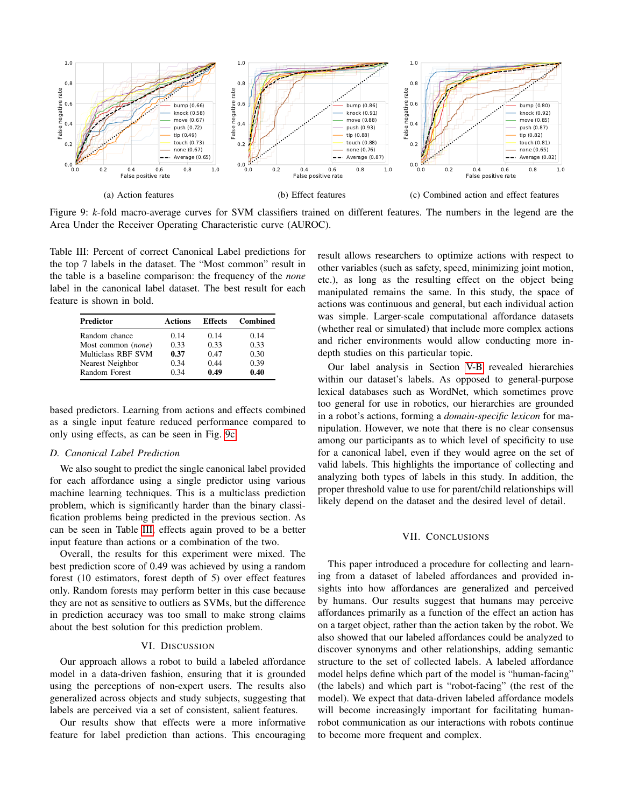<span id="page-7-0"></span>

Figure 9: *k*-fold macro-average curves for SVM classifiers trained on different features. The numbers in the legend are the Area Under the Receiver Operating Characteristic curve (AUROC).

<span id="page-7-1"></span>Table III: Percent of correct Canonical Label predictions for the top 7 labels in the dataset. The "Most common" result in the table is a baseline comparison: the frequency of the *none* label in the canonical label dataset. The best result for each feature is shown in bold.

| Predictor          | Actions | <b>Effects</b> | <b>Combined</b> |
|--------------------|---------|----------------|-----------------|
| Random chance      | 0.14    | 0.14           | 0.14            |
| Most common (none) | 0.33    | 0.33           | 0.33            |
| Multiclass RBF SVM | 0.37    | 0.47           | 0.30            |
| Nearest Neighbor   | 0.34    | 0.44           | 0.39            |
| Random Forest      | 0.34    | 0.49           | 0.40            |

based predictors. Learning from actions and effects combined as a single input feature reduced performance compared to only using effects, as can be seen in Fig. [9c.](#page-7-0)

# *D. Canonical Label Prediction*

We also sought to predict the single canonical label provided for each affordance using a single predictor using various machine learning techniques. This is a multiclass prediction problem, which is significantly harder than the binary classification problems being predicted in the previous section. As can be seen in Table [III,](#page-7-1) effects again proved to be a better input feature than actions or a combination of the two.

Overall, the results for this experiment were mixed. The best prediction score of 0.49 was achieved by using a random forest (10 estimators, forest depth of 5) over effect features only. Random forests may perform better in this case because they are not as sensitive to outliers as SVMs, but the difference in prediction accuracy was too small to make strong claims about the best solution for this prediction problem.

# VI. DISCUSSION

Our approach allows a robot to build a labeled affordance model in a data-driven fashion, ensuring that it is grounded using the perceptions of non-expert users. The results also generalized across objects and study subjects, suggesting that labels are perceived via a set of consistent, salient features.

Our results show that effects were a more informative feature for label prediction than actions. This encouraging result allows researchers to optimize actions with respect to other variables (such as safety, speed, minimizing joint motion, etc.), as long as the resulting effect on the object being manipulated remains the same. In this study, the space of actions was continuous and general, but each individual action was simple. Larger-scale computational affordance datasets (whether real or simulated) that include more complex actions and richer environments would allow conducting more indepth studies on this particular topic.

Our label analysis in Section [V-B](#page-5-3) revealed hierarchies within our dataset's labels. As opposed to general-purpose lexical databases such as WordNet, which sometimes prove too general for use in robotics, our hierarchies are grounded in a robot's actions, forming a *domain-specific lexicon* for manipulation. However, we note that there is no clear consensus among our participants as to which level of specificity to use for a canonical label, even if they would agree on the set of valid labels. This highlights the importance of collecting and analyzing both types of labels in this study. In addition, the proper threshold value to use for parent/child relationships will likely depend on the dataset and the desired level of detail.

#### VII. CONCLUSIONS

This paper introduced a procedure for collecting and learning from a dataset of labeled affordances and provided insights into how affordances are generalized and perceived by humans. Our results suggest that humans may perceive affordances primarily as a function of the effect an action has on a target object, rather than the action taken by the robot. We also showed that our labeled affordances could be analyzed to discover synonyms and other relationships, adding semantic structure to the set of collected labels. A labeled affordance model helps define which part of the model is "human-facing" (the labels) and which part is "robot-facing" (the rest of the model). We expect that data-driven labeled affordance models will become increasingly important for facilitating humanrobot communication as our interactions with robots continue to become more frequent and complex.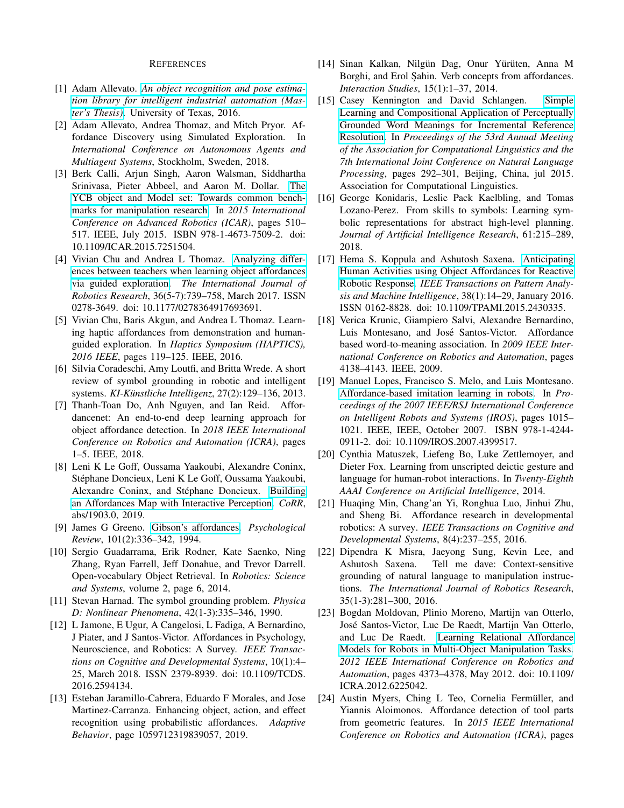#### REFERENCES

- <span id="page-8-23"></span>[1] Adam Allevato. *[An object recognition and pose estima](http://hdl.handle.net/2152/39369)[tion library for intelligent industrial automation \(Mas](http://hdl.handle.net/2152/39369)[ter's Thesis\)](http://hdl.handle.net/2152/39369)*. University of Texas, 2016.
- <span id="page-8-17"></span>[2] Adam Allevato, Andrea Thomaz, and Mitch Pryor. Affordance Discovery using Simulated Exploration. In *International Conference on Autonomous Agents and Multiagent Systems*, Stockholm, Sweden, 2018.
- <span id="page-8-22"></span>[3] Berk Calli, Arjun Singh, Aaron Walsman, Siddhartha Srinivasa, Pieter Abbeel, and Aaron M. Dollar. [The](http://ieeexplore.ieee.org/document/7251504/) [YCB object and Model set: Towards common bench](http://ieeexplore.ieee.org/document/7251504/)[marks for manipulation research.](http://ieeexplore.ieee.org/document/7251504/) In *2015 International Conference on Advanced Robotics (ICAR)*, pages 510– 517. IEEE, July 2015. ISBN 978-1-4673-7509-2. doi: 10.1109/ICAR.2015.7251504.
- <span id="page-8-2"></span>[4] Vivian Chu and Andrea L Thomaz. [Analyzing differ](http://dx.doi.org/10.1177/0278364917693691)[ences between teachers when learning object affordances](http://dx.doi.org/10.1177/0278364917693691) [via guided exploration.](http://dx.doi.org/10.1177/0278364917693691) *The International Journal of Robotics Research*, 36(5-7):739–758, March 2017. ISSN 0278-3649. doi: 10.1177/0278364917693691.
- <span id="page-8-5"></span>[5] Vivian Chu, Baris Akgun, and Andrea L Thomaz. Learning haptic affordances from demonstration and humanguided exploration. In *Haptics Symposium (HAPTICS), 2016 IEEE*, pages 119–125. IEEE, 2016.
- <span id="page-8-18"></span>[6] Silvia Coradeschi, Amy Loutfi, and Britta Wrede. A short review of symbol grounding in robotic and intelligent systems. *KI-Künstliche Intelligenz*, 27(2):129-136, 2013.
- <span id="page-8-7"></span>[7] Thanh-Toan Do, Anh Nguyen, and Ian Reid. Affordancenet: An end-to-end deep learning approach for object affordance detection. In *2018 IEEE International Conference on Robotics and Automation (ICRA)*, pages 1–5. IEEE, 2018.
- <span id="page-8-15"></span>[8] Leni K Le Goff, Oussama Yaakoubi, Alexandre Coninx, Stéphane Doncieux, Leni K Le Goff, Oussama Yaakoubi, Alexandre Coninx, and Stéphane Doncieux. [Building](http://arxiv.org/abs/1903.04413) [an Affordances Map with Interactive Perception.](http://arxiv.org/abs/1903.04413) *CoRR*, abs/1903.0, 2019.
- <span id="page-8-4"></span>[9] James G Greeno. [Gibson's affordances.](http://ftp.idiap.ch/pub/courses/EE-700/material/31-10-2012/gibsonAffordances.pdf) *Psychological Review*, 101(2):336–342, 1994.
- <span id="page-8-11"></span>[10] Sergio Guadarrama, Erik Rodner, Kate Saenko, Ning Zhang, Ryan Farrell, Jeff Donahue, and Trevor Darrell. Open-vocabulary Object Retrieval. In *Robotics: Science and Systems*, volume 2, page 6, 2014.
- <span id="page-8-0"></span>[11] Stevan Harnad. The symbol grounding problem. *Physica D: Nonlinear Phenomena*, 42(1-3):335–346, 1990.
- <span id="page-8-13"></span>[12] L Jamone, E Ugur, A Cangelosi, L Fadiga, A Bernardino, J Piater, and J Santos-Victor. Affordances in Psychology, Neuroscience, and Robotics: A Survey. *IEEE Transactions on Cognitive and Developmental Systems*, 10(1):4– 25, March 2018. ISSN 2379-8939. doi: 10.1109/TCDS. 2016.2594134.
- <span id="page-8-10"></span>[13] Esteban Jaramillo-Cabrera, Eduardo F Morales, and Jose Martinez-Carranza. Enhancing object, action, and effect recognition using probabilistic affordances. *Adaptive Behavior*, page 1059712319839057, 2019.
- <span id="page-8-21"></span>[14] Sinan Kalkan, Nilgün Dag, Onur Yürüten, Anna M Borghi, and Erol Şahin. Verb concepts from affordances. *Interaction Studies*, 15(1):1–37, 2014.
- <span id="page-8-19"></span>[15] Casey Kennington and David Schlangen. [Simple](https://www.aclweb.org/anthology/P15-1029) [Learning and Compositional Application of Perceptually](https://www.aclweb.org/anthology/P15-1029) [Grounded Word Meanings for Incremental Reference](https://www.aclweb.org/anthology/P15-1029) [Resolution.](https://www.aclweb.org/anthology/P15-1029) In *Proceedings of the 53rd Annual Meeting of the Association for Computational Linguistics and the 7th International Joint Conference on Natural Language Processing*, pages 292–301, Beijing, China, jul 2015. Association for Computational Linguistics.
- <span id="page-8-20"></span>[16] George Konidaris, Leslie Pack Kaelbling, and Tomas Lozano-Perez. From skills to symbols: Learning symbolic representations for abstract high-level planning. *Journal of Artificial Intelligence Research*, 61:215–289, 2018.
- <span id="page-8-1"></span>[17] Hema S. Koppula and Ashutosh Saxena. [Anticipating](http://ieeexplore.ieee.org/document/7102751/) [Human Activities using Object Affordances for Reactive](http://ieeexplore.ieee.org/document/7102751/) [Robotic Response.](http://ieeexplore.ieee.org/document/7102751/) *IEEE Transactions on Pattern Analysis and Machine Intelligence*, 38(1):14–29, January 2016. ISSN 0162-8828. doi: 10.1109/TPAMI.2015.2430335.
- <span id="page-8-9"></span>[18] Verica Krunic, Giampiero Salvi, Alexandre Bernardino, Luis Montesano, and José Santos-Victor. Affordance based word-to-meaning association. In *2009 IEEE International Conference on Robotics and Automation*, pages 4138–4143. IEEE, 2009.
- <span id="page-8-8"></span>[19] Manuel Lopes, Francisco S. Melo, and Luis Montesano. [Affordance-based imitation learning in robots.](http://ieeexplore.ieee.org/document/4399517/) In *Proceedings of the 2007 IEEE/RSJ International Conference on Intelligent Robots and Systems (IROS)*, pages 1015– 1021. IEEE, IEEE, October 2007. ISBN 978-1-4244- 0911-2. doi: 10.1109/IROS.2007.4399517.
- <span id="page-8-3"></span>[20] Cynthia Matuszek, Liefeng Bo, Luke Zettlemoyer, and Dieter Fox. Learning from unscripted deictic gesture and language for human-robot interactions. In *Twenty-Eighth AAAI Conference on Artificial Intelligence*, 2014.
- <span id="page-8-14"></span>[21] Huaqing Min, Chang'an Yi, Ronghua Luo, Jinhui Zhu, and Sheng Bi. Affordance research in developmental robotics: A survey. *IEEE Transactions on Cognitive and Developmental Systems*, 8(4):237–255, 2016.
- <span id="page-8-12"></span>[22] Dipendra K Misra, Jaeyong Sung, Kevin Lee, and Ashutosh Saxena. Tell me dave: Context-sensitive grounding of natural language to manipulation instructions. *The International Journal of Robotics Research*, 35(1-3):281–300, 2016.
- <span id="page-8-16"></span>[23] Bogdan Moldovan, Plinio Moreno, Martijn van Otterlo, Jose Santos-Victor, Luc De Raedt, Martijn Van Otterlo, ´ and Luc De Raedt. [Learning Relational Affordance](http://ieeexplore.ieee.org/document/6225042/) [Models for Robots in Multi-Object Manipulation Tasks.](http://ieeexplore.ieee.org/document/6225042/) *2012 IEEE International Conference on Robotics and Automation*, pages 4373–4378, May 2012. doi: 10.1109/ ICRA.2012.6225042.
- <span id="page-8-6"></span>[24] Austin Myers, Ching L Teo, Cornelia Fermüller, and Yiannis Aloimonos. Affordance detection of tool parts from geometric features. In *2015 IEEE International Conference on Robotics and Automation (ICRA)*, pages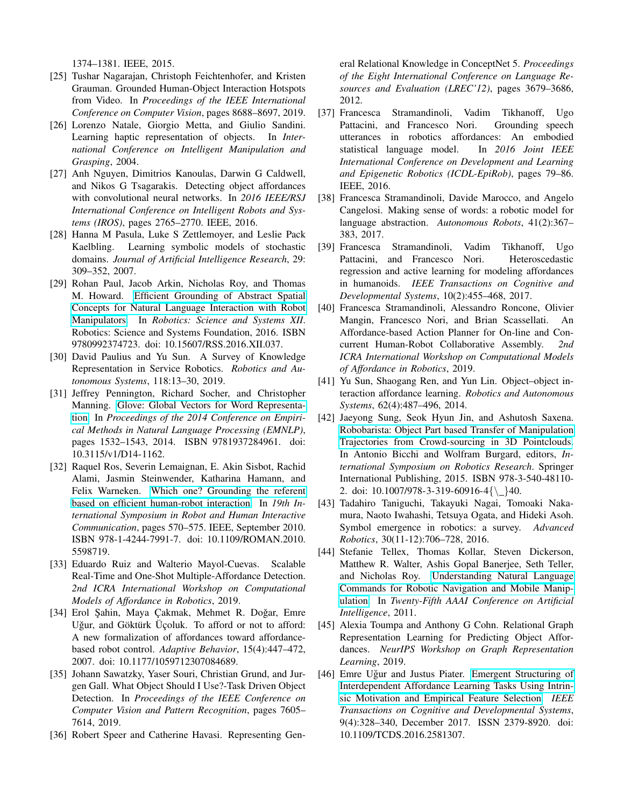1374–1381. IEEE, 2015.

- <span id="page-9-8"></span>[25] Tushar Nagarajan, Christoph Feichtenhofer, and Kristen Grauman. Grounded Human-Object Interaction Hotspots from Video. In *Proceedings of the IEEE International Conference on Computer Vision*, pages 8688–8697, 2019.
- <span id="page-9-4"></span>[26] Lorenzo Natale, Giorgio Metta, and Giulio Sandini. Learning haptic representation of objects. In *International Conference on Intelligent Manipulation and Grasping*, 2004.
- <span id="page-9-5"></span>[27] Anh Nguyen, Dimitrios Kanoulas, Darwin G Caldwell, and Nikos G Tsagarakis. Detecting object affordances with convolutional neural networks. In *2016 IEEE/RSJ International Conference on Intelligent Robots and Systems (IROS)*, pages 2765–2770. IEEE, 2016.
- <span id="page-9-18"></span>[28] Hanna M Pasula, Luke S Zettlemoyer, and Leslie Pack Kaelbling. Learning symbolic models of stochastic domains. *Journal of Artificial Intelligence Research*, 29: 309–352, 2007.
- <span id="page-9-17"></span>[29] Rohan Paul, Jacob Arkin, Nicholas Roy, and Thomas M. Howard. [Efficient Grounding of Abstract Spatial](http://www.roboticsproceedings.org/rss12/p37.pdf) [Concepts for Natural Language Interaction with Robot](http://www.roboticsproceedings.org/rss12/p37.pdf) [Manipulators.](http://www.roboticsproceedings.org/rss12/p37.pdf) In *Robotics: Science and Systems XII*. Robotics: Science and Systems Foundation, 2016. ISBN 9780992374723. doi: 10.15607/RSS.2016.XII.037.
- <span id="page-9-14"></span>[30] David Paulius and Yu Sun. A Survey of Knowledge Representation in Service Robotics. *Robotics and Autonomous Systems*, 118:13–30, 2019.
- <span id="page-9-20"></span>[31] Jeffrey Pennington, Richard Socher, and Christopher Manning. [Glove: Global Vectors for Word Representa](http://aclweb.org/anthology/D14-1162)[tion.](http://aclweb.org/anthology/D14-1162) In *Proceedings of the 2014 Conference on Empirical Methods in Natural Language Processing (EMNLP)*, pages 1532–1543, 2014. ISBN 9781937284961. doi: 10.3115/v1/D14-1162.
- <span id="page-9-15"></span>[32] Raquel Ros, Severin Lemaignan, E. Akin Sisbot, Rachid Alami, Jasmin Steinwender, Katharina Hamann, and Felix Warneken. [Which one? Grounding the referent](http://ieeexplore.ieee.org/document/5598719/) [based on efficient human-robot interaction.](http://ieeexplore.ieee.org/document/5598719/) In *19th International Symposium in Robot and Human Interactive Communication*, pages 570–575. IEEE, September 2010. ISBN 978-1-4244-7991-7. doi: 10.1109/ROMAN.2010. 5598719.
- <span id="page-9-9"></span>[33] Eduardo Ruiz and Walterio Mayol-Cuevas. Scalable Real-Time and One-Shot Multiple-Affordance Detection. *2nd ICRA International Workshop on Computational Models of Affordance in Robotics*, 2019.
- <span id="page-9-0"></span>[34] Erol Sahin, Maya Cakmak, Mehmet R. Doğar, Emre Uğur, and Göktürk Üçoluk. To afford or not to afford: A new formalization of affordances toward affordancebased robot control. *Adaptive Behavior*, 15(4):447–472, 2007. doi: 10.1177/1059712307084689.
- <span id="page-9-7"></span>[35] Johann Sawatzky, Yaser Souri, Christian Grund, and Jurgen Gall. What Object Should I Use?-Task Driven Object Detection. In *Proceedings of the IEEE Conference on Computer Vision and Pattern Recognition*, pages 7605– 7614, 2019.
- <span id="page-9-21"></span>[36] Robert Speer and Catherine Havasi. Representing Gen-

eral Relational Knowledge in ConceptNet 5. *Proceedings of the Eight International Conference on Language Resources and Evaluation (LREC'12)*, pages 3679–3686, 2012.

- <span id="page-9-16"></span>[37] Francesca Stramandinoli, Vadim Tikhanoff, Ugo Pattacini, and Francesco Nori. Grounding speech utterances in robotics affordances: An embodied statistical language model. In *2016 Joint IEEE International Conference on Development and Learning and Epigenetic Robotics (ICDL-EpiRob)*, pages 79–86. IEEE, 2016.
- <span id="page-9-6"></span>[38] Francesca Stramandinoli, Davide Marocco, and Angelo Cangelosi. Making sense of words: a robotic model for language abstraction. *Autonomous Robots*, 41(2):367– 383, 2017.
- <span id="page-9-11"></span>[39] Francesca Stramandinoli, Vadim Tikhanoff, Ugo Pattacini, and Francesco Nori. Heteroscedastic regression and active learning for modeling affordances in humanoids. *IEEE Transactions on Cognitive and Developmental Systems*, 10(2):455–468, 2017.
- <span id="page-9-12"></span>[40] Francesca Stramandinoli, Alessandro Roncone, Olivier Mangin, Francesco Nori, and Brian Scassellati. An Affordance-based Action Planner for On-line and Concurrent Human-Robot Collaborative Assembly. *2nd ICRA International Workshop on Computational Models of Affordance in Robotics*, 2019.
- <span id="page-9-10"></span>[41] Yu Sun, Shaogang Ren, and Yun Lin. Object–object interaction affordance learning. *Robotics and Autonomous Systems*, 62(4):487–496, 2014.
- <span id="page-9-19"></span>[42] Jaeyong Sung, Seok Hyun Jin, and Ashutosh Saxena. [Robobarista: Object Part based Transfer of Manipulation](http://arxiv.org/abs/1504.03071) [Trajectories from Crowd-sourcing in 3D Pointclouds.](http://arxiv.org/abs/1504.03071) In Antonio Bicchi and Wolfram Burgard, editors, *International Symposium on Robotics Research*. Springer International Publishing, 2015. ISBN 978-3-540-48110- 2. doi:  $10.1007/978 - 3 - 319 - 60916 - 4{\_{\} }40$ .
- <span id="page-9-1"></span>[43] Tadahiro Taniguchi, Takayuki Nagai, Tomoaki Nakamura, Naoto Iwahashi, Tetsuya Ogata, and Hideki Asoh. Symbol emergence in robotics: a survey. *Advanced Robotics*, 30(11-12):706–728, 2016.
- <span id="page-9-3"></span>[44] Stefanie Tellex, Thomas Kollar, Steven Dickerson, Matthew R. Walter, Ashis Gopal Banerjee, Seth Teller, and Nicholas Roy. [Understanding Natural Language](http://www.aaai.org/ocs/index.php/AAAI/AAAI11/paper/viewFile/3623/4113) [Commands for Robotic Navigation and Mobile Manip](http://www.aaai.org/ocs/index.php/AAAI/AAAI11/paper/viewFile/3623/4113)[ulation.](http://www.aaai.org/ocs/index.php/AAAI/AAAI11/paper/viewFile/3623/4113) In *Twenty-Fifth AAAI Conference on Artificial Intelligence*, 2011.
- <span id="page-9-13"></span>[45] Alexia Toumpa and Anthony G Cohn. Relational Graph Representation Learning for Predicting Object Affordances. *NeurIPS Workshop on Graph Representation Learning*, 2019.
- <span id="page-9-2"></span>[46] Emre Uğur and Justus Piater. [Emergent Structuring of](http://ieeexplore.ieee.org/document/7492597/) [Interdependent Affordance Learning Tasks Using Intrin](http://ieeexplore.ieee.org/document/7492597/)[sic Motivation and Empirical Feature Selection.](http://ieeexplore.ieee.org/document/7492597/) *IEEE Transactions on Cognitive and Developmental Systems*, 9(4):328–340, December 2017. ISSN 2379-8920. doi: 10.1109/TCDS.2016.2581307.